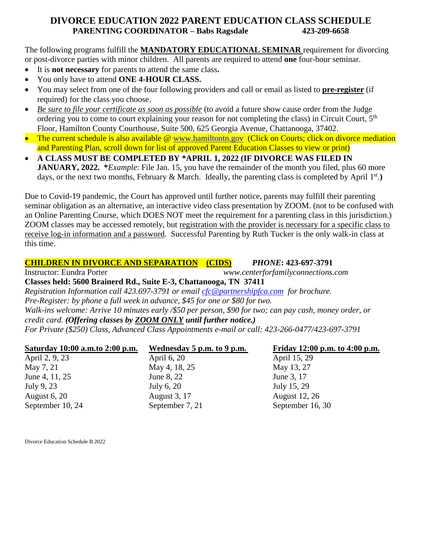## **DIVORCE EDUCATION 2022 PARENT EDUCATION CLASS SCHEDULE PARENTING COORDINATOR – Babs Ragsdale 423-209-6658**

The following programs fulfill the **MANDATORY EDUCATIONAL SEMINAR** requirement for divorcing or post-divorce parties with minor children. All parents are required to attend **one** four-hour seminar.

- It is **not necessary** for parents to attend the same class**.**
- You only have to attend **ONE 4-HOUR CLASS.**
- You may select from one of the four following providers and call or email as listed to **pre-register** (if required) for the class you choose.
- *Be sure to file your certificate as soon as possible* (to avoid a future show cause order from the Judge ordering you to come to court explaining your reason for not completing the class) in Circuit Court, 5<sup>th</sup> Floor, Hamilton County Courthouse, Suite 500, 625 Georgia Avenue, Chattanooga, 37402.
- The current schedule is also available @ [www.hamiltontn.gov](http://www.hamiltontn.gov/) (Click on Courts; click on divorce mediation and Parenting Plan, scroll down for list of approved Parent Education Classes to view or print)
- **A CLASS MUST BE COMPLETED BY \*APRIL 1, 2022 (IF DIVORCE WAS FILED IN JANUARY, 2022.** \**Example*: File Jan. 15, you have the remainder of the month you filed, plus 60 more days, or the next two months, February & March. Ideally, the parenting class is completed by April 1<sup>st</sup>.)

Due to Covid-19 pandemic, the Court has approved until further notice, parents may fulfill their parenting seminar obligation as an alternative, an interactive video class presentation by ZOOM. (not to be confused with an Online Parenting Course, which DOES NOT meet the requirement for a parenting class in this jurisdiction.) ZOOM classes may be accessed remotely, but registration with the provider is necessary for a specific class to receive log-in information and a password. Successful Parenting by Ruth Tucker is the only walk-in class at this time.

## **CHILDREN IN DIVORCE AND SEPARATION (CIDS)** *PHONE***: 423-697-3791**

Instructor: Eundra Porter *www.centerforfamilyconnections.com*

**Classes held: 5600 Brainerd Rd., Suite E-3, Chattanooga, TN 37411** 

*Registration Information call 423.697-3791 or email [cfc@partnershipfca.com](mailto:cfc@partnershipfca.com) for brochure.*

*Pre-Register: by phone a full week in advance, \$45 for one or \$80 for two.*

*Walk-ins welcome: Arrive 10 minutes early /\$50 per person, \$90 for two; can pay cash, money order, or* 

*credit card. (Offering classes by ZOOM ONLY until further notice.)*

*For Private (\$250) Class, Advanced Class Appointments e-mail or call: 423-266-0477/423-697-3791*

| Saturday 10:00 a.m.to 2:00 p.m. | Wednesday 5 p.m. to 9 p.m. | Friday 12:00 p.m. to 4:00 p.m. |
|---------------------------------|----------------------------|--------------------------------|
| April 2, 9, 23                  | April 6, 20                | April 15, 29                   |
| May 7, 21                       | May 4, 18, 25              | May 13, 27                     |
| June 4, 11, 25                  | June 8, 22                 | June 3, 17                     |
| July 9, 23                      | July 6, 20                 | July 15, 29                    |
| August $6, 20$                  | <b>August 3, 17</b>        | <b>August</b> 12, 26           |
| September 10, 24                | September 7, 21            | September 16, 30               |
|                                 |                            |                                |
|                                 |                            |                                |

Divorce Education Schedule B 2022